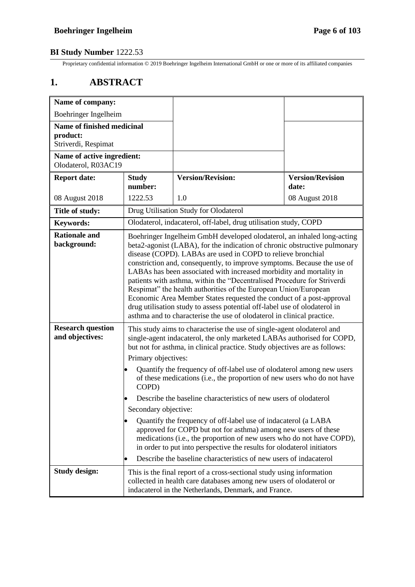Proprietary confidential information © 2019 Boehringer Ingelheim International GmbH or one or more of its affiliated companies

# **1. ABSTRACT**

| Name of company:                                                     |                                                                                                                                                                                                                                                                                                                                                                                                                                                                                                                                                                                                                                                                                                                                                   |                                                                                                                                                                                                                                                                                     |                                  |
|----------------------------------------------------------------------|---------------------------------------------------------------------------------------------------------------------------------------------------------------------------------------------------------------------------------------------------------------------------------------------------------------------------------------------------------------------------------------------------------------------------------------------------------------------------------------------------------------------------------------------------------------------------------------------------------------------------------------------------------------------------------------------------------------------------------------------------|-------------------------------------------------------------------------------------------------------------------------------------------------------------------------------------------------------------------------------------------------------------------------------------|----------------------------------|
| Boehringer Ingelheim                                                 |                                                                                                                                                                                                                                                                                                                                                                                                                                                                                                                                                                                                                                                                                                                                                   |                                                                                                                                                                                                                                                                                     |                                  |
| <b>Name of finished medicinal</b><br>product:<br>Striverdi, Respimat |                                                                                                                                                                                                                                                                                                                                                                                                                                                                                                                                                                                                                                                                                                                                                   |                                                                                                                                                                                                                                                                                     |                                  |
| Name of active ingredient:<br>Olodaterol, R03AC19                    |                                                                                                                                                                                                                                                                                                                                                                                                                                                                                                                                                                                                                                                                                                                                                   |                                                                                                                                                                                                                                                                                     |                                  |
| <b>Report date:</b>                                                  | <b>Study</b><br>number:                                                                                                                                                                                                                                                                                                                                                                                                                                                                                                                                                                                                                                                                                                                           | <b>Version/Revision:</b>                                                                                                                                                                                                                                                            | <b>Version/Revision</b><br>date: |
| 08 August 2018                                                       | 1222.53                                                                                                                                                                                                                                                                                                                                                                                                                                                                                                                                                                                                                                                                                                                                           | 1.0                                                                                                                                                                                                                                                                                 | 08 August 2018                   |
| Title of study:                                                      |                                                                                                                                                                                                                                                                                                                                                                                                                                                                                                                                                                                                                                                                                                                                                   | Drug Utilisation Study for Olodaterol                                                                                                                                                                                                                                               |                                  |
| <b>Keywords:</b>                                                     |                                                                                                                                                                                                                                                                                                                                                                                                                                                                                                                                                                                                                                                                                                                                                   | Olodaterol, indacaterol, off-label, drug utilisation study, COPD                                                                                                                                                                                                                    |                                  |
| <b>Rationale and</b><br>background:                                  | Boehringer Ingelheim GmbH developed olodaterol, an inhaled long-acting<br>beta2-agonist (LABA), for the indication of chronic obstructive pulmonary<br>disease (COPD). LABAs are used in COPD to relieve bronchial<br>constriction and, consequently, to improve symptoms. Because the use of<br>LABAs has been associated with increased morbidity and mortality in<br>patients with asthma, within the "Decentralised Procedure for Striverdi<br>Respimat" the health authorities of the European Union/European<br>Economic Area Member States requested the conduct of a post-approval<br>drug utilisation study to assess potential off-label use of olodaterol in<br>asthma and to characterise the use of olodaterol in clinical practice. |                                                                                                                                                                                                                                                                                     |                                  |
| <b>Research question</b><br>and objectives:                          | This study aims to characterise the use of single-agent olodaterol and<br>single-agent indacaterol, the only marketed LABAs authorised for COPD,<br>but not for asthma, in clinical practice. Study objectives are as follows:<br>Primary objectives:                                                                                                                                                                                                                                                                                                                                                                                                                                                                                             |                                                                                                                                                                                                                                                                                     |                                  |
|                                                                      | Quantify the frequency of off-label use of olodaterol among new users<br>of these medications (i.e., the proportion of new users who do not have<br>COPD)                                                                                                                                                                                                                                                                                                                                                                                                                                                                                                                                                                                         |                                                                                                                                                                                                                                                                                     |                                  |
|                                                                      | Describe the baseline characteristics of new users of olodaterol<br>Secondary objective:                                                                                                                                                                                                                                                                                                                                                                                                                                                                                                                                                                                                                                                          |                                                                                                                                                                                                                                                                                     |                                  |
|                                                                      |                                                                                                                                                                                                                                                                                                                                                                                                                                                                                                                                                                                                                                                                                                                                                   | Quantify the frequency of off-label use of indacaterol (a LABA<br>approved for COPD but not for asthma) among new users of these<br>medications (i.e., the proportion of new users who do not have COPD),<br>in order to put into perspective the results for olodaterol initiators |                                  |
|                                                                      | Describe the baseline characteristics of new users of indacaterol                                                                                                                                                                                                                                                                                                                                                                                                                                                                                                                                                                                                                                                                                 |                                                                                                                                                                                                                                                                                     |                                  |
| <b>Study design:</b>                                                 | This is the final report of a cross-sectional study using information<br>collected in health care databases among new users of olodaterol or<br>indacaterol in the Netherlands, Denmark, and France.                                                                                                                                                                                                                                                                                                                                                                                                                                                                                                                                              |                                                                                                                                                                                                                                                                                     |                                  |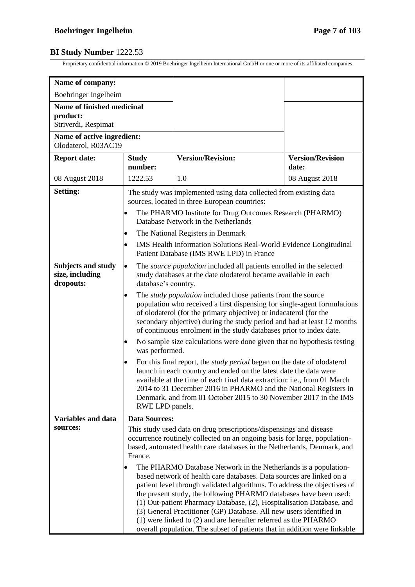| Name of company:                                              |                                                                                                                                                                                                                                                                                                                                 |                                                                                                                                                                                                                                                                                                                                                                                                                                                                                                                                                                                              |                                  |  |
|---------------------------------------------------------------|---------------------------------------------------------------------------------------------------------------------------------------------------------------------------------------------------------------------------------------------------------------------------------------------------------------------------------|----------------------------------------------------------------------------------------------------------------------------------------------------------------------------------------------------------------------------------------------------------------------------------------------------------------------------------------------------------------------------------------------------------------------------------------------------------------------------------------------------------------------------------------------------------------------------------------------|----------------------------------|--|
| Boehringer Ingelheim                                          |                                                                                                                                                                                                                                                                                                                                 |                                                                                                                                                                                                                                                                                                                                                                                                                                                                                                                                                                                              |                                  |  |
| Name of finished medicinal<br>product:<br>Striverdi, Respimat |                                                                                                                                                                                                                                                                                                                                 |                                                                                                                                                                                                                                                                                                                                                                                                                                                                                                                                                                                              |                                  |  |
| Name of active ingredient:<br>Olodaterol, R03AC19             |                                                                                                                                                                                                                                                                                                                                 |                                                                                                                                                                                                                                                                                                                                                                                                                                                                                                                                                                                              |                                  |  |
| <b>Report date:</b>                                           | <b>Study</b><br>number:                                                                                                                                                                                                                                                                                                         | <b>Version/Revision:</b>                                                                                                                                                                                                                                                                                                                                                                                                                                                                                                                                                                     | <b>Version/Revision</b><br>date: |  |
| 08 August 2018                                                | 1222.53                                                                                                                                                                                                                                                                                                                         | 1.0                                                                                                                                                                                                                                                                                                                                                                                                                                                                                                                                                                                          | 08 August 2018                   |  |
| Setting:                                                      | The study was implemented using data collected from existing data<br>sources, located in three European countries:<br>The PHARMO Institute for Drug Outcomes Research (PHARMO)<br>Database Network in the Netherlands<br>The National Registers in Denmark<br>IMS Health Information Solutions Real-World Evidence Longitudinal |                                                                                                                                                                                                                                                                                                                                                                                                                                                                                                                                                                                              |                                  |  |
|                                                               |                                                                                                                                                                                                                                                                                                                                 | Patient Database (IMS RWE LPD) in France                                                                                                                                                                                                                                                                                                                                                                                                                                                                                                                                                     |                                  |  |
| Subjects and study<br>size, including<br>dropouts:            | The source population included all patients enrolled in the selected<br>study databases at the date olodaterol became available in each<br>database's country.                                                                                                                                                                  |                                                                                                                                                                                                                                                                                                                                                                                                                                                                                                                                                                                              |                                  |  |
|                                                               |                                                                                                                                                                                                                                                                                                                                 | The <i>study population</i> included those patients from the source<br>population who received a first dispensing for single-agent formulations<br>of olodaterol (for the primary objective) or indacaterol (for the<br>secondary objective) during the study period and had at least 12 months<br>of continuous enrolment in the study databases prior to index date.                                                                                                                                                                                                                       |                                  |  |
|                                                               | No sample size calculations were done given that no hypothesis testing<br>was performed.                                                                                                                                                                                                                                        |                                                                                                                                                                                                                                                                                                                                                                                                                                                                                                                                                                                              |                                  |  |
|                                                               | RWE LPD panels.                                                                                                                                                                                                                                                                                                                 | For this final report, the <i>study period</i> began on the date of olodaterol<br>launch in each country and ended on the latest date the data were<br>available at the time of each final data extraction: i.e., from 01 March<br>2014 to 31 December 2016 in PHARMO and the National Registers in<br>Denmark, and from 01 October 2015 to 30 November 2017 in the IMS                                                                                                                                                                                                                      |                                  |  |
| <b>Variables and data</b>                                     | <b>Data Sources:</b>                                                                                                                                                                                                                                                                                                            |                                                                                                                                                                                                                                                                                                                                                                                                                                                                                                                                                                                              |                                  |  |
| sources:                                                      | This study used data on drug prescriptions/dispensings and disease<br>occurrence routinely collected on an ongoing basis for large, population-<br>based, automated health care databases in the Netherlands, Denmark, and<br>France.                                                                                           |                                                                                                                                                                                                                                                                                                                                                                                                                                                                                                                                                                                              |                                  |  |
|                                                               |                                                                                                                                                                                                                                                                                                                                 | The PHARMO Database Network in the Netherlands is a population-<br>based network of health care databases. Data sources are linked on a<br>patient level through validated algorithms. To address the objectives of<br>the present study, the following PHARMO databases have been used:<br>(1) Out-patient Pharmacy Database, (2), Hospitalisation Database, and<br>(3) General Practitioner (GP) Database. All new users identified in<br>$(1)$ were linked to $(2)$ and are hereafter referred as the PHARMO<br>overall population. The subset of patients that in addition were linkable |                                  |  |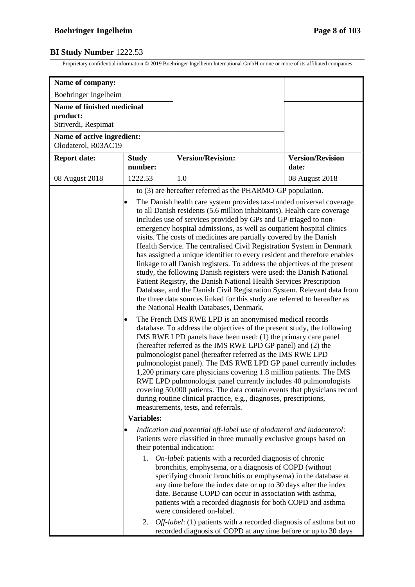| Name of company:                                              |                                                                                                                                                                                                                                                                                                                                                                                                                                                                                                                                                                                                                                                                                                                                                                                                                                                                                                                                                                                                                                                                                                                                                                                                                                                                                                                                                                                                                                                                                                                                                                                                                                                                                                                                                                |                                                                                                                                                                                                                                                                                                                                                                                                                                                                                                                                                                     |                                  |
|---------------------------------------------------------------|----------------------------------------------------------------------------------------------------------------------------------------------------------------------------------------------------------------------------------------------------------------------------------------------------------------------------------------------------------------------------------------------------------------------------------------------------------------------------------------------------------------------------------------------------------------------------------------------------------------------------------------------------------------------------------------------------------------------------------------------------------------------------------------------------------------------------------------------------------------------------------------------------------------------------------------------------------------------------------------------------------------------------------------------------------------------------------------------------------------------------------------------------------------------------------------------------------------------------------------------------------------------------------------------------------------------------------------------------------------------------------------------------------------------------------------------------------------------------------------------------------------------------------------------------------------------------------------------------------------------------------------------------------------------------------------------------------------------------------------------------------------|---------------------------------------------------------------------------------------------------------------------------------------------------------------------------------------------------------------------------------------------------------------------------------------------------------------------------------------------------------------------------------------------------------------------------------------------------------------------------------------------------------------------------------------------------------------------|----------------------------------|
| Boehringer Ingelheim                                          |                                                                                                                                                                                                                                                                                                                                                                                                                                                                                                                                                                                                                                                                                                                                                                                                                                                                                                                                                                                                                                                                                                                                                                                                                                                                                                                                                                                                                                                                                                                                                                                                                                                                                                                                                                |                                                                                                                                                                                                                                                                                                                                                                                                                                                                                                                                                                     |                                  |
| Name of finished medicinal<br>product:<br>Striverdi, Respimat |                                                                                                                                                                                                                                                                                                                                                                                                                                                                                                                                                                                                                                                                                                                                                                                                                                                                                                                                                                                                                                                                                                                                                                                                                                                                                                                                                                                                                                                                                                                                                                                                                                                                                                                                                                |                                                                                                                                                                                                                                                                                                                                                                                                                                                                                                                                                                     |                                  |
| Name of active ingredient:<br>Olodaterol, R03AC19             |                                                                                                                                                                                                                                                                                                                                                                                                                                                                                                                                                                                                                                                                                                                                                                                                                                                                                                                                                                                                                                                                                                                                                                                                                                                                                                                                                                                                                                                                                                                                                                                                                                                                                                                                                                |                                                                                                                                                                                                                                                                                                                                                                                                                                                                                                                                                                     |                                  |
| <b>Report date:</b>                                           | <b>Study</b><br>number:                                                                                                                                                                                                                                                                                                                                                                                                                                                                                                                                                                                                                                                                                                                                                                                                                                                                                                                                                                                                                                                                                                                                                                                                                                                                                                                                                                                                                                                                                                                                                                                                                                                                                                                                        | <b>Version/Revision:</b>                                                                                                                                                                                                                                                                                                                                                                                                                                                                                                                                            | <b>Version/Revision</b><br>date: |
| 08 August 2018                                                | 1222.53                                                                                                                                                                                                                                                                                                                                                                                                                                                                                                                                                                                                                                                                                                                                                                                                                                                                                                                                                                                                                                                                                                                                                                                                                                                                                                                                                                                                                                                                                                                                                                                                                                                                                                                                                        | 1.0                                                                                                                                                                                                                                                                                                                                                                                                                                                                                                                                                                 | 08 August 2018                   |
|                                                               | to (3) are hereafter referred as the PHARMO-GP population.<br>The Danish health care system provides tax-funded universal coverage<br>to all Danish residents (5.6 million inhabitants). Health care coverage<br>includes use of services provided by GPs and GP-triaged to non-<br>emergency hospital admissions, as well as outpatient hospital clinics<br>visits. The costs of medicines are partially covered by the Danish<br>Health Service. The centralised Civil Registration System in Denmark<br>has assigned a unique identifier to every resident and therefore enables<br>linkage to all Danish registers. To address the objectives of the present<br>study, the following Danish registers were used: the Danish National<br>Patient Registry, the Danish National Health Services Prescription<br>Database, and the Danish Civil Registration System. Relevant data from<br>the three data sources linked for this study are referred to hereafter as<br>the National Health Databases, Denmark.<br>The French IMS RWE LPD is an anonymised medical records<br>database. To address the objectives of the present study, the following<br>IMS RWE LPD panels have been used: (1) the primary care panel<br>(hereafter referred as the IMS RWE LPD GP panel) and (2) the<br>pulmonologist panel (hereafter referred as the IMS RWE LPD<br>pulmonologist panel). The IMS RWE LPD GP panel currently includes<br>1,200 primary care physicians covering 1.8 million patients. The IMS<br>RWE LPD pulmonologist panel currently includes 40 pulmonologists<br>covering 50,000 patients. The data contain events that physicians record<br>during routine clinical practice, e.g., diagnoses, prescriptions,<br>measurements, tests, and referrals. |                                                                                                                                                                                                                                                                                                                                                                                                                                                                                                                                                                     |                                  |
|                                                               | <b>Variables:</b><br>Indication and potential off-label use of olodaterol and indacaterol:                                                                                                                                                                                                                                                                                                                                                                                                                                                                                                                                                                                                                                                                                                                                                                                                                                                                                                                                                                                                                                                                                                                                                                                                                                                                                                                                                                                                                                                                                                                                                                                                                                                                     |                                                                                                                                                                                                                                                                                                                                                                                                                                                                                                                                                                     |                                  |
|                                                               | Patients were classified in three mutually exclusive groups based on<br>their potential indication:                                                                                                                                                                                                                                                                                                                                                                                                                                                                                                                                                                                                                                                                                                                                                                                                                                                                                                                                                                                                                                                                                                                                                                                                                                                                                                                                                                                                                                                                                                                                                                                                                                                            |                                                                                                                                                                                                                                                                                                                                                                                                                                                                                                                                                                     |                                  |
|                                                               |                                                                                                                                                                                                                                                                                                                                                                                                                                                                                                                                                                                                                                                                                                                                                                                                                                                                                                                                                                                                                                                                                                                                                                                                                                                                                                                                                                                                                                                                                                                                                                                                                                                                                                                                                                | 1. <i>On-label:</i> patients with a recorded diagnosis of chronic<br>bronchitis, emphysema, or a diagnosis of COPD (without<br>specifying chronic bronchitis or emphysema) in the database at<br>any time before the index date or up to 30 days after the index<br>date. Because COPD can occur in association with asthma,<br>patients with a recorded diagnosis for both COPD and asthma<br>were considered on-label.<br>2. Off-label: (1) patients with a recorded diagnosis of asthma but no<br>recorded diagnosis of COPD at any time before or up to 30 days |                                  |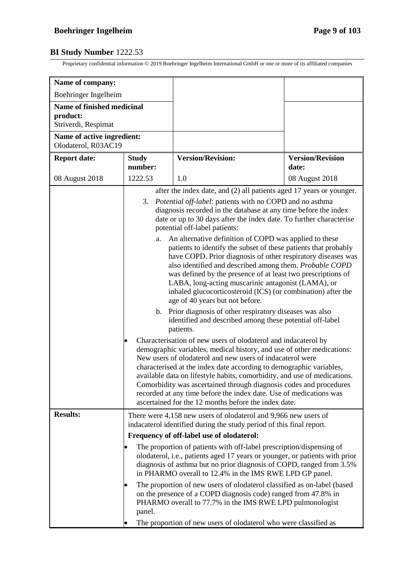| Name of company:                                              |                                                                                                                                                                                                                                                                                                                                                                                                                                                                                                                                                                                                                                                                                                                                                                                                                                                                                                                                                                                                                                                                                                                                                                                                                                                                                                                                                                                                                                                          |                                                                                                                                                                                                                                                                                                                                                                                                                                                                                             |                                  |  |
|---------------------------------------------------------------|----------------------------------------------------------------------------------------------------------------------------------------------------------------------------------------------------------------------------------------------------------------------------------------------------------------------------------------------------------------------------------------------------------------------------------------------------------------------------------------------------------------------------------------------------------------------------------------------------------------------------------------------------------------------------------------------------------------------------------------------------------------------------------------------------------------------------------------------------------------------------------------------------------------------------------------------------------------------------------------------------------------------------------------------------------------------------------------------------------------------------------------------------------------------------------------------------------------------------------------------------------------------------------------------------------------------------------------------------------------------------------------------------------------------------------------------------------|---------------------------------------------------------------------------------------------------------------------------------------------------------------------------------------------------------------------------------------------------------------------------------------------------------------------------------------------------------------------------------------------------------------------------------------------------------------------------------------------|----------------------------------|--|
| Boehringer Ingelheim                                          |                                                                                                                                                                                                                                                                                                                                                                                                                                                                                                                                                                                                                                                                                                                                                                                                                                                                                                                                                                                                                                                                                                                                                                                                                                                                                                                                                                                                                                                          |                                                                                                                                                                                                                                                                                                                                                                                                                                                                                             |                                  |  |
| Name of finished medicinal<br>product:<br>Striverdi, Respimat |                                                                                                                                                                                                                                                                                                                                                                                                                                                                                                                                                                                                                                                                                                                                                                                                                                                                                                                                                                                                                                                                                                                                                                                                                                                                                                                                                                                                                                                          |                                                                                                                                                                                                                                                                                                                                                                                                                                                                                             |                                  |  |
| Name of active ingredient:<br>Olodaterol, R03AC19             |                                                                                                                                                                                                                                                                                                                                                                                                                                                                                                                                                                                                                                                                                                                                                                                                                                                                                                                                                                                                                                                                                                                                                                                                                                                                                                                                                                                                                                                          |                                                                                                                                                                                                                                                                                                                                                                                                                                                                                             |                                  |  |
| <b>Report date:</b>                                           | <b>Study</b><br>number:                                                                                                                                                                                                                                                                                                                                                                                                                                                                                                                                                                                                                                                                                                                                                                                                                                                                                                                                                                                                                                                                                                                                                                                                                                                                                                                                                                                                                                  | <b>Version/Revision:</b>                                                                                                                                                                                                                                                                                                                                                                                                                                                                    | <b>Version/Revision</b><br>date: |  |
| 08 August 2018                                                | 1222.53                                                                                                                                                                                                                                                                                                                                                                                                                                                                                                                                                                                                                                                                                                                                                                                                                                                                                                                                                                                                                                                                                                                                                                                                                                                                                                                                                                                                                                                  | 1.0                                                                                                                                                                                                                                                                                                                                                                                                                                                                                         | 08 August 2018                   |  |
|                                                               | after the index date, and (2) all patients aged 17 years or younger.<br>Potential off-label: patients with no COPD and no asthma<br>3.<br>diagnosis recorded in the database at any time before the index<br>date or up to 30 days after the index date. To further characterise<br>potential off-label patients:<br>An alternative definition of COPD was applied to these<br>a.<br>patients to identify the subset of these patients that probably<br>have COPD. Prior diagnosis of other respiratory diseases was<br>also identified and described among them. Probable COPD<br>was defined by the presence of at least two prescriptions of<br>LABA, long-acting muscarinic antagonist (LAMA), or<br>inhaled glucocorticosteroid (ICS) (or combination) after the<br>age of 40 years but not before.<br>Prior diagnosis of other respiratory diseases was also<br>b.<br>identified and described among these potential off-label<br>patients.<br>Characterisation of new users of olodaterol and indacaterol by<br>demographic variables, medical history, and use of other medications:<br>New users of olodaterol and new users of indacaterol were<br>characterised at the index date according to demographic variables,<br>available data on lifestyle habits, comorbidity, and use of medications.<br>Comorbidity was ascertained through diagnosis codes and procedures<br>recorded at any time before the index date. Use of medications was |                                                                                                                                                                                                                                                                                                                                                                                                                                                                                             |                                  |  |
| <b>Results:</b>                                               |                                                                                                                                                                                                                                                                                                                                                                                                                                                                                                                                                                                                                                                                                                                                                                                                                                                                                                                                                                                                                                                                                                                                                                                                                                                                                                                                                                                                                                                          | ascertained for the 12 months before the index date.<br>There were 4,158 new users of olodaterol and 9,966 new users of<br>indacaterol identified during the study period of this final report.                                                                                                                                                                                                                                                                                             |                                  |  |
|                                                               | Frequency of off-label use of olodaterol:<br>The proportion of patients with off-label prescription/dispensing of                                                                                                                                                                                                                                                                                                                                                                                                                                                                                                                                                                                                                                                                                                                                                                                                                                                                                                                                                                                                                                                                                                                                                                                                                                                                                                                                        |                                                                                                                                                                                                                                                                                                                                                                                                                                                                                             |                                  |  |
|                                                               | panel.                                                                                                                                                                                                                                                                                                                                                                                                                                                                                                                                                                                                                                                                                                                                                                                                                                                                                                                                                                                                                                                                                                                                                                                                                                                                                                                                                                                                                                                   | olodaterol, i.e., patients aged 17 years or younger, or patients with prior<br>diagnosis of asthma but no prior diagnosis of COPD, ranged from 3.5%<br>in PHARMO overall to 12.4% in the IMS RWE LPD GP panel.<br>The proportion of new users of olodaterol classified as on-label (based<br>on the presence of a COPD diagnosis code) ranged from 47.8% in<br>PHARMO overall to 77.7% in the IMS RWE LPD pulmonologist<br>The proportion of new users of olodaterol who were classified as |                                  |  |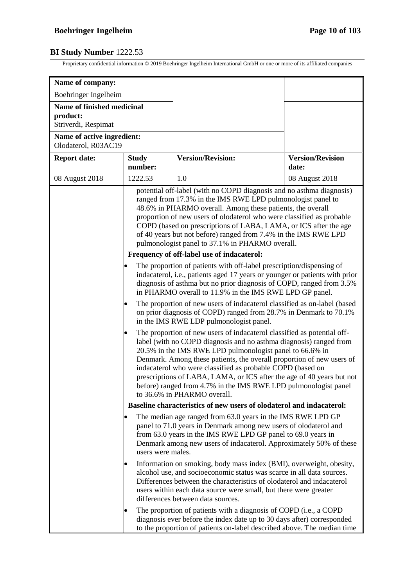| Name of company:                                                     |                                                                                                                                                                                                                                                                                                                                                                                                                                                                                                                                                                                                                                                                           |                                                                                                                                                                                                                                                                                                                                                                                                                                                                                                                                                                        |                                  |
|----------------------------------------------------------------------|---------------------------------------------------------------------------------------------------------------------------------------------------------------------------------------------------------------------------------------------------------------------------------------------------------------------------------------------------------------------------------------------------------------------------------------------------------------------------------------------------------------------------------------------------------------------------------------------------------------------------------------------------------------------------|------------------------------------------------------------------------------------------------------------------------------------------------------------------------------------------------------------------------------------------------------------------------------------------------------------------------------------------------------------------------------------------------------------------------------------------------------------------------------------------------------------------------------------------------------------------------|----------------------------------|
| Boehringer Ingelheim                                                 |                                                                                                                                                                                                                                                                                                                                                                                                                                                                                                                                                                                                                                                                           |                                                                                                                                                                                                                                                                                                                                                                                                                                                                                                                                                                        |                                  |
| <b>Name of finished medicinal</b><br>product:<br>Striverdi, Respimat |                                                                                                                                                                                                                                                                                                                                                                                                                                                                                                                                                                                                                                                                           |                                                                                                                                                                                                                                                                                                                                                                                                                                                                                                                                                                        |                                  |
| Name of active ingredient:<br>Olodaterol, R03AC19                    |                                                                                                                                                                                                                                                                                                                                                                                                                                                                                                                                                                                                                                                                           |                                                                                                                                                                                                                                                                                                                                                                                                                                                                                                                                                                        |                                  |
| <b>Report date:</b>                                                  | <b>Study</b><br>number:                                                                                                                                                                                                                                                                                                                                                                                                                                                                                                                                                                                                                                                   | <b>Version/Revision:</b>                                                                                                                                                                                                                                                                                                                                                                                                                                                                                                                                               | <b>Version/Revision</b><br>date: |
| 08 August 2018                                                       | 1222.53                                                                                                                                                                                                                                                                                                                                                                                                                                                                                                                                                                                                                                                                   | 1.0                                                                                                                                                                                                                                                                                                                                                                                                                                                                                                                                                                    | 08 August 2018                   |
|                                                                      | potential off-label (with no COPD diagnosis and no asthma diagnosis)<br>ranged from 17.3% in the IMS RWE LPD pulmonologist panel to<br>48.6% in PHARMO overall. Among these patients, the overall<br>proportion of new users of olodaterol who were classified as probable<br>COPD (based on prescriptions of LABA, LAMA, or ICS after the age<br>of 40 years but not before) ranged from 7.4% in the IMS RWE LPD<br>pulmonologist panel to 37.1% in PHARMO overall.<br>Frequency of off-label use of indacaterol:<br>The proportion of patients with off-label prescription/dispensing of<br>indacaterol, i.e., patients aged 17 years or younger or patients with prior |                                                                                                                                                                                                                                                                                                                                                                                                                                                                                                                                                                        |                                  |
|                                                                      |                                                                                                                                                                                                                                                                                                                                                                                                                                                                                                                                                                                                                                                                           | diagnosis of asthma but no prior diagnosis of COPD, ranged from 3.5%<br>in PHARMO overall to 11.9% in the IMS RWE LPD GP panel.<br>The proportion of new users of indacaterol classified as on-label (based<br>on prior diagnosis of COPD) ranged from 28.7% in Denmark to 70.1%                                                                                                                                                                                                                                                                                       |                                  |
|                                                                      |                                                                                                                                                                                                                                                                                                                                                                                                                                                                                                                                                                                                                                                                           | in the IMS RWE LDP pulmonologist panel.<br>The proportion of new users of indacaterol classified as potential off-<br>label (with no COPD diagnosis and no asthma diagnosis) ranged from<br>20.5% in the IMS RWE LPD pulmonologist panel to 66.6% in<br>Denmark. Among these patients, the overall proportion of new users of<br>indacaterol who were classified as probable COPD (based on<br>prescriptions of LABA, LAMA, or ICS after the age of 40 years but not<br>before) ranged from 4.7% in the IMS RWE LPD pulmonologist panel<br>to 36.6% in PHARMO overall. |                                  |
|                                                                      |                                                                                                                                                                                                                                                                                                                                                                                                                                                                                                                                                                                                                                                                           | Baseline characteristics of new users of olodaterol and indacaterol:                                                                                                                                                                                                                                                                                                                                                                                                                                                                                                   |                                  |
|                                                                      | users were males.                                                                                                                                                                                                                                                                                                                                                                                                                                                                                                                                                                                                                                                         | The median age ranged from 63.0 years in the IMS RWE LPD GP<br>panel to 71.0 years in Denmark among new users of olodaterol and<br>from 63.0 years in the IMS RWE LPD GP panel to 69.0 years in<br>Denmark among new users of indacaterol. Approximately 50% of these                                                                                                                                                                                                                                                                                                  |                                  |
|                                                                      |                                                                                                                                                                                                                                                                                                                                                                                                                                                                                                                                                                                                                                                                           | Information on smoking, body mass index (BMI), overweight, obesity,<br>alcohol use, and socioeconomic status was scarce in all data sources.<br>Differences between the characteristics of olodaterol and indacaterol<br>users within each data source were small, but there were greater<br>differences between data sources.                                                                                                                                                                                                                                         |                                  |
|                                                                      |                                                                                                                                                                                                                                                                                                                                                                                                                                                                                                                                                                                                                                                                           | The proportion of patients with a diagnosis of COPD (i.e., a COPD<br>diagnosis ever before the index date up to 30 days after) corresponded<br>to the proportion of patients on-label described above. The median time                                                                                                                                                                                                                                                                                                                                                 |                                  |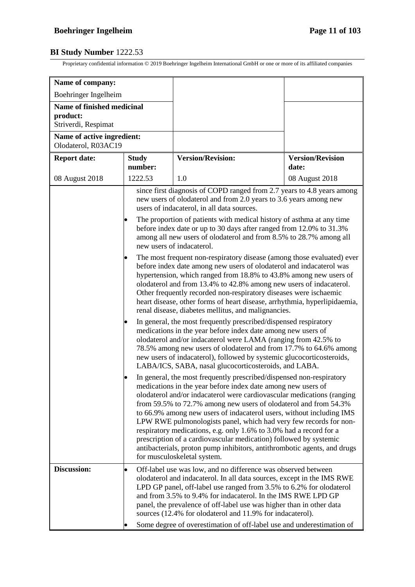| Name of company:                                                     |                                                                                                                                                                                                                                                                                                                                                                                                                                                                                                                                                                                                                                                                                                                                                                                                                                                                                                                                                   |                                                                                                                                                                                                                                                                                                                                                                                                                                                                                                                                                                                                                                                                                       |                                  |  |
|----------------------------------------------------------------------|---------------------------------------------------------------------------------------------------------------------------------------------------------------------------------------------------------------------------------------------------------------------------------------------------------------------------------------------------------------------------------------------------------------------------------------------------------------------------------------------------------------------------------------------------------------------------------------------------------------------------------------------------------------------------------------------------------------------------------------------------------------------------------------------------------------------------------------------------------------------------------------------------------------------------------------------------|---------------------------------------------------------------------------------------------------------------------------------------------------------------------------------------------------------------------------------------------------------------------------------------------------------------------------------------------------------------------------------------------------------------------------------------------------------------------------------------------------------------------------------------------------------------------------------------------------------------------------------------------------------------------------------------|----------------------------------|--|
| Boehringer Ingelheim                                                 |                                                                                                                                                                                                                                                                                                                                                                                                                                                                                                                                                                                                                                                                                                                                                                                                                                                                                                                                                   |                                                                                                                                                                                                                                                                                                                                                                                                                                                                                                                                                                                                                                                                                       |                                  |  |
| <b>Name of finished medicinal</b><br>product:<br>Striverdi, Respimat |                                                                                                                                                                                                                                                                                                                                                                                                                                                                                                                                                                                                                                                                                                                                                                                                                                                                                                                                                   |                                                                                                                                                                                                                                                                                                                                                                                                                                                                                                                                                                                                                                                                                       |                                  |  |
| Name of active ingredient:<br>Olodaterol, R03AC19                    |                                                                                                                                                                                                                                                                                                                                                                                                                                                                                                                                                                                                                                                                                                                                                                                                                                                                                                                                                   |                                                                                                                                                                                                                                                                                                                                                                                                                                                                                                                                                                                                                                                                                       |                                  |  |
| <b>Report date:</b>                                                  | <b>Study</b><br>number:                                                                                                                                                                                                                                                                                                                                                                                                                                                                                                                                                                                                                                                                                                                                                                                                                                                                                                                           | <b>Version/Revision:</b>                                                                                                                                                                                                                                                                                                                                                                                                                                                                                                                                                                                                                                                              | <b>Version/Revision</b><br>date: |  |
| 08 August 2018                                                       | 1222.53                                                                                                                                                                                                                                                                                                                                                                                                                                                                                                                                                                                                                                                                                                                                                                                                                                                                                                                                           | 1.0                                                                                                                                                                                                                                                                                                                                                                                                                                                                                                                                                                                                                                                                                   | 08 August 2018                   |  |
|                                                                      | since first diagnosis of COPD ranged from 2.7 years to 4.8 years among<br>new users of olodaterol and from 2.0 years to 3.6 years among new<br>users of indacaterol, in all data sources.<br>The proportion of patients with medical history of asthma at any time<br>before index date or up to 30 days after ranged from 12.0% to 31.3%<br>among all new users of olodaterol and from 8.5% to 28.7% among all<br>new users of indacaterol.<br>The most frequent non-respiratory disease (among those evaluated) ever<br>before index date among new users of olodaterol and indacaterol was<br>hypertension, which ranged from 18.8% to 43.8% among new users of<br>olodaterol and from 13.4% to 42.8% among new users of indacaterol.<br>Other frequently recorded non-respiratory diseases were ischaemic<br>heart disease, other forms of heart disease, arrhythmia, hyperlipidaemia,<br>renal disease, diabetes mellitus, and malignancies. |                                                                                                                                                                                                                                                                                                                                                                                                                                                                                                                                                                                                                                                                                       |                                  |  |
|                                                                      |                                                                                                                                                                                                                                                                                                                                                                                                                                                                                                                                                                                                                                                                                                                                                                                                                                                                                                                                                   | In general, the most frequently prescribed/dispensed respiratory<br>medications in the year before index date among new users of<br>olodaterol and/or indacaterol were LAMA (ranging from 42.5% to<br>78.5% among new users of olodaterol and from 17.7% to 64.6% among<br>new users of indacaterol), followed by systemic glucocorticosteroids,<br>LABA/ICS, SABA, nasal glucocorticosteroids, and LABA.                                                                                                                                                                                                                                                                             |                                  |  |
|                                                                      |                                                                                                                                                                                                                                                                                                                                                                                                                                                                                                                                                                                                                                                                                                                                                                                                                                                                                                                                                   | In general, the most frequently prescribed/dispensed non-respiratory<br>medications in the year before index date among new users of<br>olodaterol and/or indacaterol were cardiovascular medications (ranging<br>from 59.5% to 72.7% among new users of olodaterol and from 54.3%<br>to 66.9% among new users of indacaterol users, without including IMS<br>LPW RWE pulmonologists panel, which had very few records for non-<br>respiratory medications, e.g. only 1.6% to 3.0% had a record for a<br>prescription of a cardiovascular medication) followed by systemic<br>antibacterials, proton pump inhibitors, antithrombotic agents, and drugs<br>for musculoskeletal system. |                                  |  |
| Discussion:                                                          | $\bullet$                                                                                                                                                                                                                                                                                                                                                                                                                                                                                                                                                                                                                                                                                                                                                                                                                                                                                                                                         | Off-label use was low, and no difference was observed between<br>olodaterol and indacaterol. In all data sources, except in the IMS RWE<br>LPD GP panel, off-label use ranged from 3.5% to 6.2% for olodaterol<br>and from 3.5% to 9.4% for indacaterol. In the IMS RWE LPD GP<br>panel, the prevalence of off-label use was higher than in other data<br>sources (12.4% for olodaterol and 11.9% for indacaterol).<br>Some degree of overestimation of off-label use and underestimation of                                                                                                                                                                                          |                                  |  |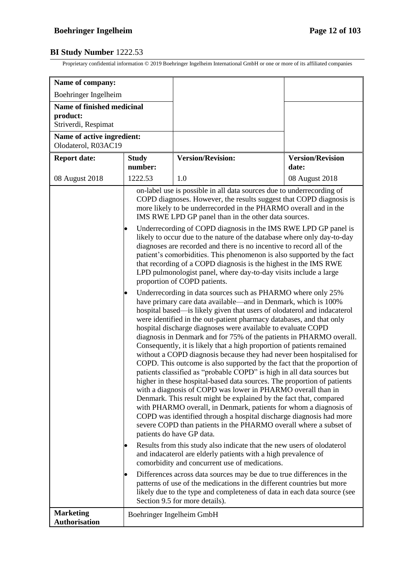| Name of company:                                                     |                                                                                                                                                                                                                                                                                                                                                                                                                                                                                                                                                                                                                                                                                                                                                                                                                                                                                                                                                                                                                                                                                                                                                                                                                                                                                                                                                                                                                                                                                                                                                                                                                                                                                                                                                                                                                                                                                                                                                                                                                                                                                                                                                                                                                                                                                                                                                                                                                                                                            |                          |                                  |
|----------------------------------------------------------------------|----------------------------------------------------------------------------------------------------------------------------------------------------------------------------------------------------------------------------------------------------------------------------------------------------------------------------------------------------------------------------------------------------------------------------------------------------------------------------------------------------------------------------------------------------------------------------------------------------------------------------------------------------------------------------------------------------------------------------------------------------------------------------------------------------------------------------------------------------------------------------------------------------------------------------------------------------------------------------------------------------------------------------------------------------------------------------------------------------------------------------------------------------------------------------------------------------------------------------------------------------------------------------------------------------------------------------------------------------------------------------------------------------------------------------------------------------------------------------------------------------------------------------------------------------------------------------------------------------------------------------------------------------------------------------------------------------------------------------------------------------------------------------------------------------------------------------------------------------------------------------------------------------------------------------------------------------------------------------------------------------------------------------------------------------------------------------------------------------------------------------------------------------------------------------------------------------------------------------------------------------------------------------------------------------------------------------------------------------------------------------------------------------------------------------------------------------------------------------|--------------------------|----------------------------------|
| Boehringer Ingelheim                                                 |                                                                                                                                                                                                                                                                                                                                                                                                                                                                                                                                                                                                                                                                                                                                                                                                                                                                                                                                                                                                                                                                                                                                                                                                                                                                                                                                                                                                                                                                                                                                                                                                                                                                                                                                                                                                                                                                                                                                                                                                                                                                                                                                                                                                                                                                                                                                                                                                                                                                            |                          |                                  |
| <b>Name of finished medicinal</b><br>product:<br>Striverdi, Respimat |                                                                                                                                                                                                                                                                                                                                                                                                                                                                                                                                                                                                                                                                                                                                                                                                                                                                                                                                                                                                                                                                                                                                                                                                                                                                                                                                                                                                                                                                                                                                                                                                                                                                                                                                                                                                                                                                                                                                                                                                                                                                                                                                                                                                                                                                                                                                                                                                                                                                            |                          |                                  |
| Name of active ingredient:<br>Olodaterol, R03AC19                    |                                                                                                                                                                                                                                                                                                                                                                                                                                                                                                                                                                                                                                                                                                                                                                                                                                                                                                                                                                                                                                                                                                                                                                                                                                                                                                                                                                                                                                                                                                                                                                                                                                                                                                                                                                                                                                                                                                                                                                                                                                                                                                                                                                                                                                                                                                                                                                                                                                                                            |                          |                                  |
| <b>Report date:</b>                                                  | <b>Study</b><br>number:                                                                                                                                                                                                                                                                                                                                                                                                                                                                                                                                                                                                                                                                                                                                                                                                                                                                                                                                                                                                                                                                                                                                                                                                                                                                                                                                                                                                                                                                                                                                                                                                                                                                                                                                                                                                                                                                                                                                                                                                                                                                                                                                                                                                                                                                                                                                                                                                                                                    | <b>Version/Revision:</b> | <b>Version/Revision</b><br>date: |
| 08 August 2018                                                       | 1222.53                                                                                                                                                                                                                                                                                                                                                                                                                                                                                                                                                                                                                                                                                                                                                                                                                                                                                                                                                                                                                                                                                                                                                                                                                                                                                                                                                                                                                                                                                                                                                                                                                                                                                                                                                                                                                                                                                                                                                                                                                                                                                                                                                                                                                                                                                                                                                                                                                                                                    | 1.0                      | 08 August 2018                   |
|                                                                      | on-label use is possible in all data sources due to underrecording of<br>COPD diagnoses. However, the results suggest that COPD diagnosis is<br>more likely to be underrecorded in the PHARMO overall and in the<br>IMS RWE LPD GP panel than in the other data sources.<br>Underrecording of COPD diagnosis in the IMS RWE LPD GP panel is<br>likely to occur due to the nature of the database where only day-to-day<br>diagnoses are recorded and there is no incentive to record all of the<br>patient's comorbidities. This phenomenon is also supported by the fact<br>that recording of a COPD diagnosis is the highest in the IMS RWE<br>LPD pulmonologist panel, where day-to-day visits include a large<br>proportion of COPD patients.<br>Underrecording in data sources such as PHARMO where only 25%<br>have primary care data available—and in Denmark, which is 100%<br>hospital based—is likely given that users of olodaterol and indacaterol<br>were identified in the out-patient pharmacy databases, and that only<br>hospital discharge diagnoses were available to evaluate COPD<br>diagnosis in Denmark and for 75% of the patients in PHARMO overall.<br>Consequently, it is likely that a high proportion of patients remained<br>without a COPD diagnosis because they had never been hospitalised for<br>COPD. This outcome is also supported by the fact that the proportion of<br>patients classified as "probable COPD" is high in all data sources but<br>higher in these hospital-based data sources. The proportion of patients<br>with a diagnosis of COPD was lower in PHARMO overall than in<br>Denmark. This result might be explained by the fact that, compared<br>with PHARMO overall, in Denmark, patients for whom a diagnosis of<br>COPD was identified through a hospital discharge diagnosis had more<br>severe COPD than patients in the PHARMO overall where a subset of<br>patients do have GP data.<br>Results from this study also indicate that the new users of olodaterol<br>$\bullet$<br>and indacaterol are elderly patients with a high prevalence of<br>comorbidity and concurrent use of medications.<br>Differences across data sources may be due to true differences in the<br>$\bullet$<br>patterns of use of the medications in the different countries but more<br>likely due to the type and completeness of data in each data source (see<br>Section 9.5 for more details).<br>Boehringer Ingelheim GmbH |                          |                                  |
| <b>Marketing</b><br><b>Authorisation</b>                             |                                                                                                                                                                                                                                                                                                                                                                                                                                                                                                                                                                                                                                                                                                                                                                                                                                                                                                                                                                                                                                                                                                                                                                                                                                                                                                                                                                                                                                                                                                                                                                                                                                                                                                                                                                                                                                                                                                                                                                                                                                                                                                                                                                                                                                                                                                                                                                                                                                                                            |                          |                                  |